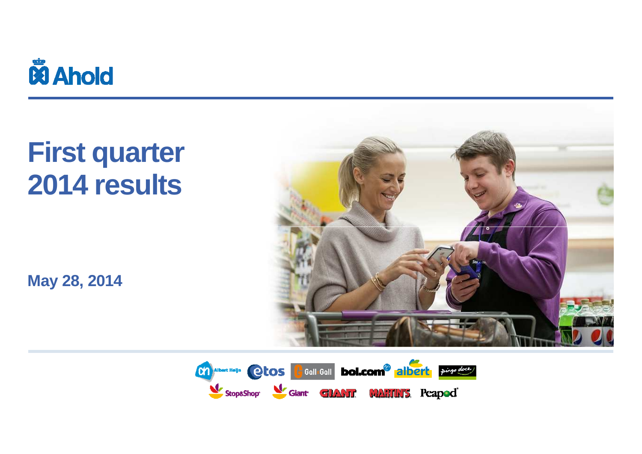

## **First quarter2014 results**

**May 28, 2014**



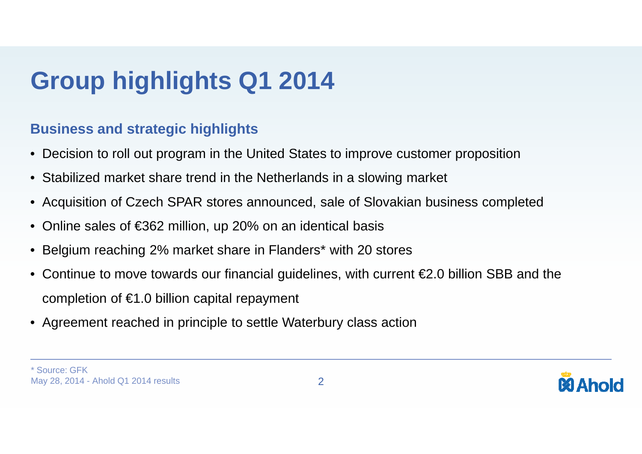## **Group highlights Q1 2014**

#### **Business and strategic highlights**

- Decision to roll out program in the United States to improve customer proposition
- $\bullet$ Stabilized market share trend in the Netherlands in a slowing market
- Acquisition of Czech SPAR stores announced, sale of Slovakian business completed
- $\bullet$ Online sales of €362 million, up 20% on an identical basis
- $\bullet$ Belgium reaching 2% market share in Flanders\* with 20 stores
- $\bullet$ Continue to move towards our financial guidelines, with current  $\epsilon$ 2.0 billion SBB and the completion of  $\epsilon$ 1.0 billion capital repayment
- Agreement reached in principle to settle Waterbury class action

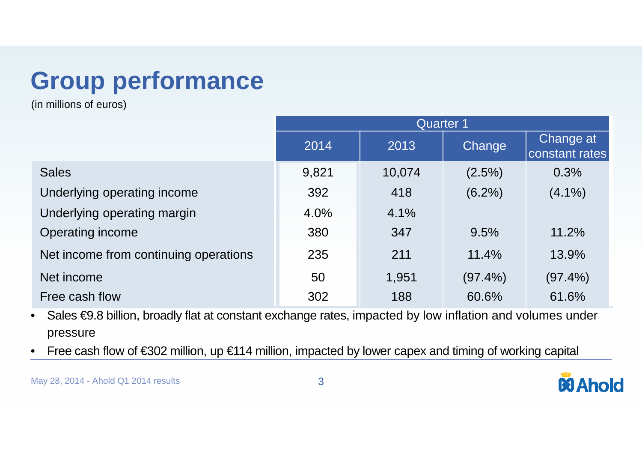## **Group performance**

(in millions of euros)

|                                       | <b>Quarter 1</b> |        |               |                             |  |  |  |
|---------------------------------------|------------------|--------|---------------|-----------------------------|--|--|--|
|                                       | 2014             | 2013   | <b>Change</b> | Change at<br>constant rates |  |  |  |
| <b>Sales</b>                          | 9,821            | 10,074 | $(2.5\%)$     | 0.3%                        |  |  |  |
| Underlying operating income           | 392              | 418    | $(6.2\%)$     | $(4.1\%)$                   |  |  |  |
| Underlying operating margin           | 4.0%             | 4.1%   |               |                             |  |  |  |
| <b>Operating income</b>               | 380              | 347    | 9.5%          | 11.2%                       |  |  |  |
| Net income from continuing operations | 235              | 211    | 11.4%         | 13.9%                       |  |  |  |
| Net income                            | 50               | 1,951  | $(97.4\%)$    | $(97.4\%)$                  |  |  |  |
| Free cash flow                        | 302              | 188    | 60.6%         | 61.6%                       |  |  |  |

 Sales €9.8 billion, broadly flat at constant exchange rates, impacted by low inflation and volumes under •pressure

Free cash flow of €302 million, up €114 million, impacted by lower capex and timing of working capital •

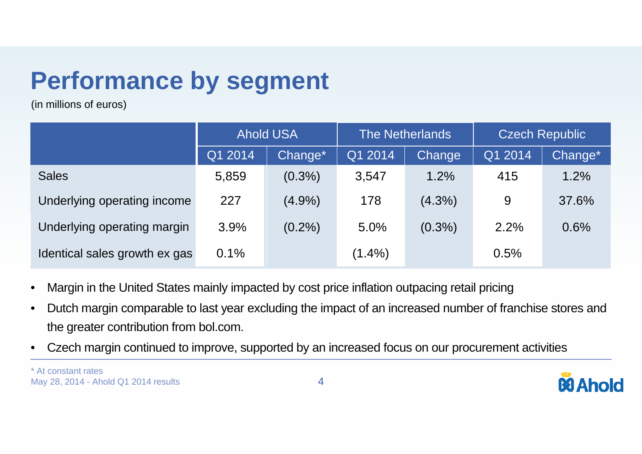### **Performance by segment**

(in millions of euros)

|                               | <b>Ahold USA</b> |           | <b>The Netherlands</b> |           | <b>Czech Republic</b> |         |
|-------------------------------|------------------|-----------|------------------------|-----------|-----------------------|---------|
|                               | Q1 2014          | Change*   | Q1 2014                | Change    | Q1 2014               | Change* |
| <b>Sales</b>                  | 5,859            | $(0.3\%)$ | 3,547                  | 1.2%      | 415                   | 1.2%    |
| Underlying operating income   | 227              | $(4.9\%)$ | 178                    | $(4.3\%)$ | 9                     | 37.6%   |
| Underlying operating margin   | 3.9%             | $(0.2\%)$ | 5.0%                   | $(0.3\%)$ | 2.2%                  | 0.6%    |
| Identical sales growth ex gas | 0.1%             |           | $(1.4\%)$              |           | 0.5%                  |         |

- •Margin in the United States mainly impacted by cost price inflation outpacing retail pricing
- • Dutch margin comparable to last year excluding the impact of an increased number of franchise stores and the greater contribution from bol.com.
- •Czech margin continued to improve, supported by an increased focus on our procurement activities

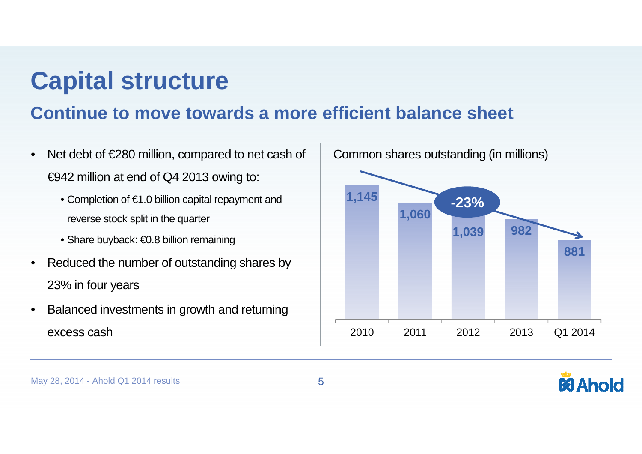### **Capital structure**

#### **Continue to move towards a more efficient balance sheet**

- • Net debt of €280 million, compared to net cash of €942 million at end of Q4 2013 owing to:
	- Completion of €1.0 billion capital repayment and reverse stock split in the quarter
	- Share buyback: €0.8 billion remaining
- • Reduced the number of outstanding shares by 23% in four years
- • Balanced investments in growth and returning excess cash



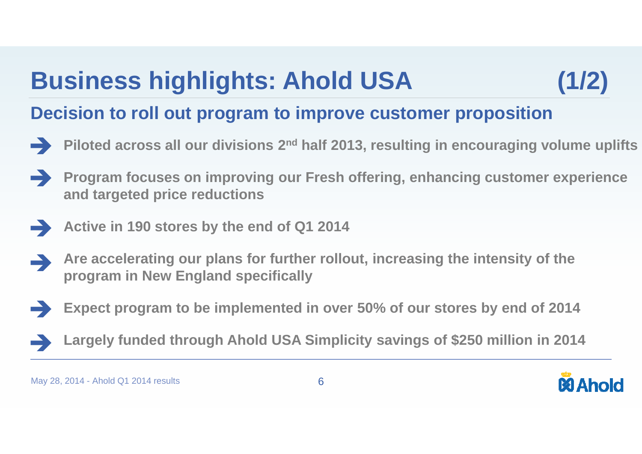## **Business highlights: Ahold USA (1/2)**

#### **Decision to roll out program to improve customer proposition**

- **Piloted across all our divisions 2nd half 2013, resulting in encouraging volume uplifts**
- **Program focuses on improving our Fresh offering, enhancing customer experience and targeted price reductions**
- **Active in 190 stores by the end of Q1 2014**
- **Are accelerating our plans for further rollout, increasing the intensity of the program in New England specifically**
- **Expect program to be implemented in over 50% of our stores by end of 2014**
- **Largely funded through Ahold USA Simplicity savings of \$250 million in 2014**

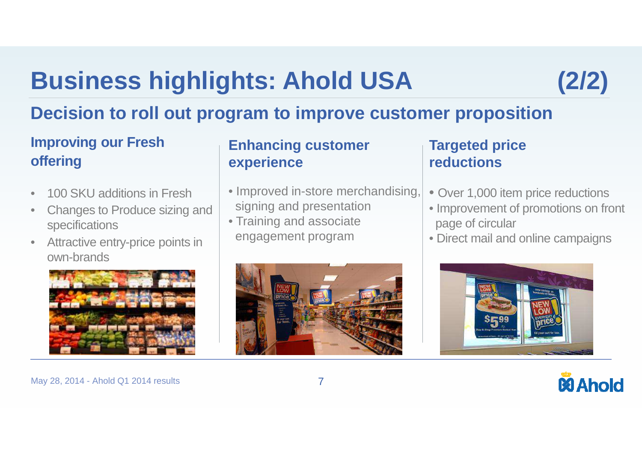## **Business highlights: Ahold USA (2/2)**



#### **Decision to roll out program to improve customer proposition**

#### **Improving our Fresh offering**

- •100 SKU additions in Fresh
- Changes to Produce sizing and •specifications
- Attractive entry-price points in  $\bullet$ own-brands



#### **Enhancing customer experience**

- Improved in-store merchandising, signing and presentation
- Training and associateengagement program



#### **Targeted price reductions**

- Over 1,000 item price reductions
- Improvement of promotions on front page of circular
- Direct mail and online campaigns





May 28, 2014 - Ahold Q1 2014 results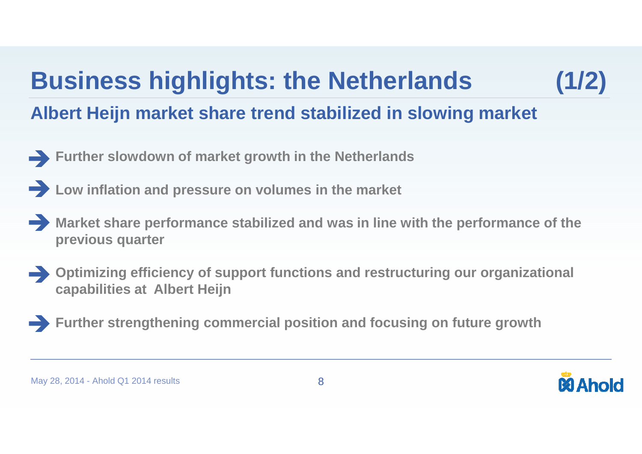## **Business highlights: the Netherlands (1/2)**



### **Albert Heijn market share trend stabilized in slowing market**

- **Further slowdown of market growth in the Netherlands**
- **Low inflation and pressure on volumes in the market**
- **Market share performance stabilized and was in line with the performance of the previous quarter**
- **Optimizing efficiency of support functions and restructuring our organizational capabilities at Albert Heijn**
- **Further strengthening commercial position and focusing on future growth**

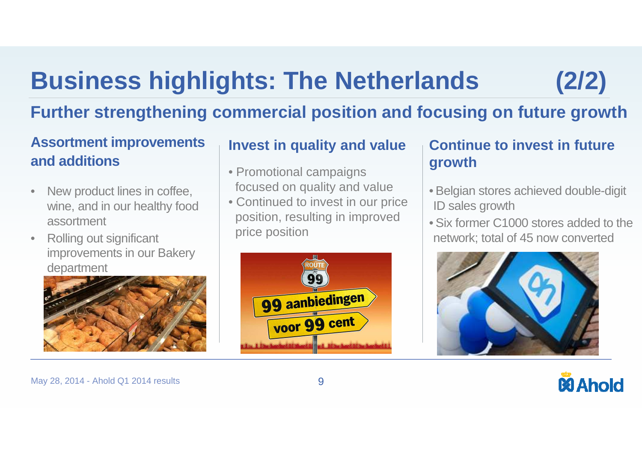## **Business highlights: The Netherlands**

### **Further strengthening commercial position and focusing on future growth**

#### **Assortment improvementsand additions**

- • New product lines in coffee, wine, and in our healthy food assortment
- • Rolling out significant improvements in our Bakery department



#### **Invest in quality and value**

- Promotional campaignsfocused on quality and value
- Continued to invest in our price position, resulting in improvedprice position



#### **Continue to invest in future growth**

- Belgian stores achieved double-digit ID sales growth
- Six former C1000 stores added to the network; total of 45 now converted





**(2/2)**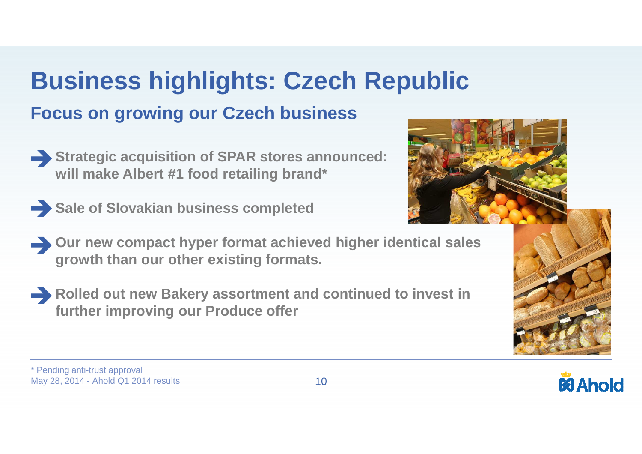# **Business highlights: Czech Republic**

#### **Focus on growing our Czech business**

- **Strategic acquisition of SPAR stores announced: will make Albert #1 food retailing brand\***
- Sale of Slovakian business completed



**Rolled out new Bakery assortment and continued to invest in further improving our Produce offer**







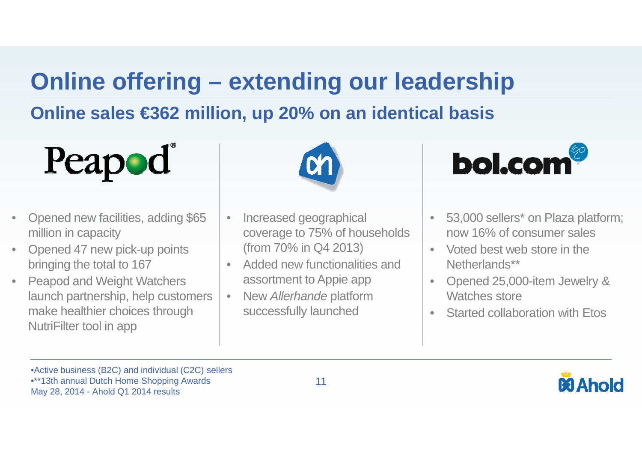### **Online offering – extending our leadership**

### **Online sales €362 million, up 20% on an identical basis**



- • Opened new facilities, adding \$65 million in capacity
- Opened 47 new pick-up points •bringing the total to 167
- Peapod and Weight Watchers •launch partnership, help customers make healthier choices through NutriFilter tool in app



- • Increased geographical coverage to 75% of households (from 70% in Q4 2013)
- • Added new functionalities and assortment to Appie app
- New Allerhande platform •successfully launched



- 53,000 sellers\* on Plaza platform; now 16% of consumer sales
- Voted best web store in the Netherlands\*\*

•

- $\bullet$  Opened 25,000-item Jewelry & Watches store
- Started collaboration with Etos $\bullet$

•Active business (B2C) and individual (C2C) sellers

•\*\*13th annual Dutch Home Shopping Awards

May 28, 2014 - Ahold Q1 2014 results



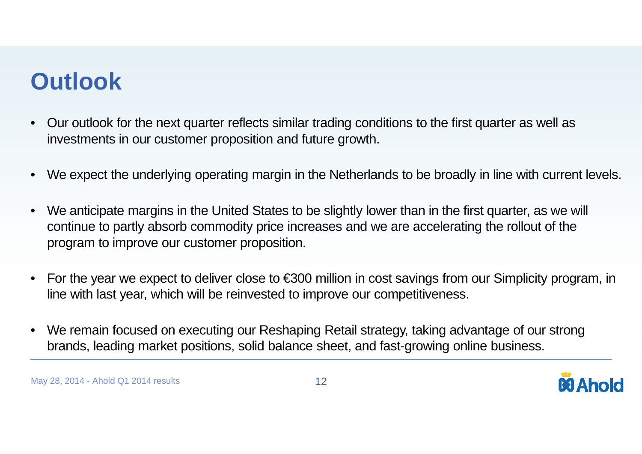### **Outlook**

- • Our outlook for the next quarter reflects similar trading conditions to the first quarter as well as investments in our customer proposition and future growth.
- •We expect the underlying operating margin in the Netherlands to be broadly in line with current levels.
- •We anticipate margins in the United States to be slightly lower than in the first quarter, as we will continue to partly absorb commodity price increases and we are accelerating the rollout of the program to improve our customer proposition.
- • For the year we expect to deliver close to €300 million in cost savings from our Simplicity program, in line with last year, which will be reinvested to improve our competitiveness.
- • We remain focused on executing our Reshaping Retail strategy, taking advantage of our strong brands, leading market positions, solid balance sheet, and fast-growing online business.

May 28, 2014 - Ahold Q1 2014 results